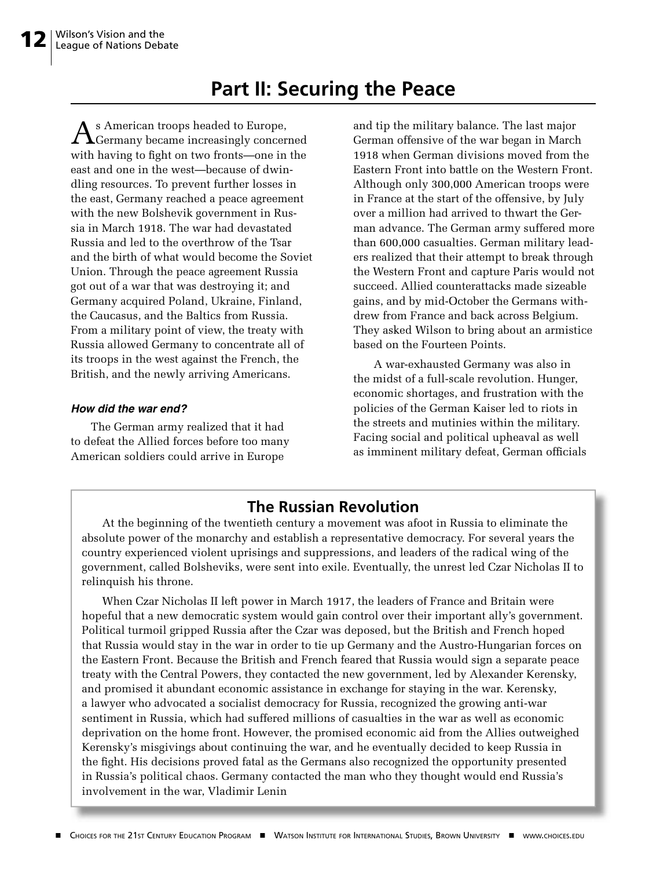## **Part II: Securing the Peace**

 $A$ s American troops headed to Europe, Germany became increasingly concerned with having to fight on two fronts—one in the east and one in the west—because of dwindling resources. To prevent further losses in the east, Germany reached a peace agreement with the new Bolshevik government in Russia in March 1918. The war had devastated Russia and led to the overthrow of the Tsar and the birth of what would become the Soviet Union. Through the peace agreement Russia got out of a war that was destroying it; and Germany acquired Poland, Ukraine, Finland, the Caucasus, and the Baltics from Russia. From a military point of view, the treaty with Russia allowed Germany to concentrate all of its troops in the west against the French, the British, and the newly arriving Americans.

#### **How did the war end?**

The German army realized that it had to defeat the Allied forces before too many American soldiers could arrive in Europe

and tip the military balance. The last major German offensive of the war began in March 1918 when German divisions moved from the Eastern Front into battle on the Western Front. Although only 300,000 American troops were in France at the start of the offensive, by July over a million had arrived to thwart the German advance. The German army suffered more than 600,000 casualties. German military leaders realized that their attempt to break through the Western Front and capture Paris would not succeed. Allied counterattacks made sizeable gains, and by mid-October the Germans withdrew from France and back across Belgium. They asked Wilson to bring about an armistice based on the Fourteen Points.

A war-exhausted Germany was also in the midst of a full-scale revolution. Hunger, economic shortages, and frustration with the policies of the German Kaiser led to riots in the streets and mutinies within the military. Facing social and political upheaval as well as imminent military defeat, German officials

### **The Russian Revolution**

At the beginning of the twentieth century a movement was afoot in Russia to eliminate the absolute power of the monarchy and establish a representative democracy. For several years the country experienced violent uprisings and suppressions, and leaders of the radical wing of the government, called Bolsheviks, were sent into exile. Eventually, the unrest led Czar Nicholas II to relinquish his throne.

When Czar Nicholas II left power in March 1917, the leaders of France and Britain were hopeful that a new democratic system would gain control over their important ally's government. Political turmoil gripped Russia after the Czar was deposed, but the British and French hoped that Russia would stay in the war in order to tie up Germany and the Austro-Hungarian forces on the Eastern Front. Because the British and French feared that Russia would sign a separate peace treaty with the Central Powers, they contacted the new government, led by Alexander Kerensky, and promised it abundant economic assistance in exchange for staying in the war. Kerensky, a lawyer who advocated a socialist democracy for Russia, recognized the growing anti-war sentiment in Russia, which had suffered millions of casualties in the war as well as economic deprivation on the home front. However, the promised economic aid from the Allies outweighed Kerensky's misgivings about continuing the war, and he eventually decided to keep Russia in the fight. His decisions proved fatal as the Germans also recognized the opportunity presented in Russia's political chaos. Germany contacted the man who they thought would end Russia's involvement in the war, Vladimir Lenin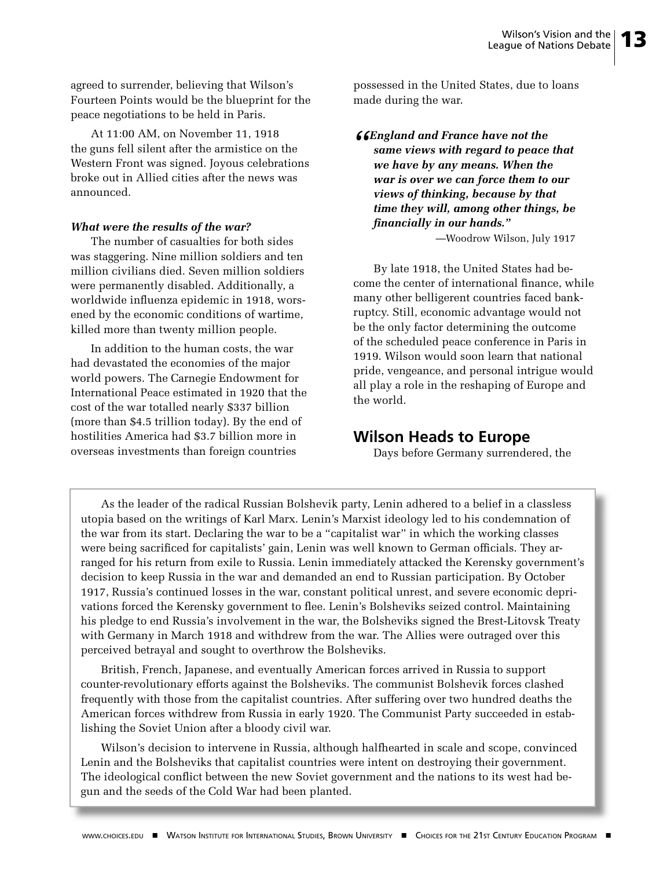agreed to surrender, believing that Wilson's Fourteen Points would be the blueprint for the peace negotiations to be held in Paris.

At 11:00 AM, on November 11, 1918 the guns fell silent after the armistice on the Western Front was signed. Joyous celebrations broke out in Allied cities after the news was announced.

#### *What were the results of the war?*

The number of casualties for both sides was staggering. Nine million soldiers and ten million civilians died. Seven million soldiers were permanently disabled. Additionally, a worldwide influenza epidemic in 1918, worsened by the economic conditions of wartime, killed more than twenty million people.

In addition to the human costs, the war had devastated the economies of the major world powers. The Carnegie Endowment for International Peace estimated in 1920 that the cost of the war totalled nearly \$337 billion (more than \$4.5 trillion today). By the end of hostilities America had \$3.7 billion more in overseas investments than foreign countries

possessed in the United States, due to loans made during the war.

*"England and France have not the same views with regard to peace that we have by any means. When the war is over we can force them to our views of thinking, because by that time they will, among other things, be fi nancially in our hands."* 

—Woodrow Wilson, July 1917

By late 1918, the United States had become the center of international finance, while many other belligerent countries faced bankruptcy. Still, economic advantage would not be the only factor determining the outcome of the scheduled peace conference in Paris in 1919. Wilson would soon learn that national pride, vengeance, and personal intrigue would all play a role in the reshaping of Europe and the world.

#### **Wilson Heads to Europe**

Days before Germany surrendered, the

As the leader of the radical Russian Bolshevik party, Lenin adhered to a belief in a classless utopia based on the writings of Karl Marx. Lenin's Marxist ideology led to his condemnation of the war from its start. Declaring the war to be a "capitalist war" in which the working classes were being sacrificed for capitalists' gain, Lenin was well known to German officials. They arranged for his return from exile to Russia. Lenin immediately attacked the Kerensky government's decision to keep Russia in the war and demanded an end to Russian participation. By October 1917, Russia's continued losses in the war, constant political unrest, and severe economic deprivations forced the Kerensky government to flee. Lenin's Bolsheviks seized control. Maintaining his pledge to end Russia's involvement in the war, the Bolsheviks signed the Brest-Litovsk Treaty with Germany in March 1918 and withdrew from the war. The Allies were outraged over this perceived betrayal and sought to overthrow the Bolsheviks.

British, French, Japanese, and eventually American forces arrived in Russia to support counter-revolutionary efforts against the Bolsheviks. The communist Bolshevik forces clashed frequently with those from the capitalist countries. After suffering over two hundred deaths the American forces withdrew from Russia in early 1920. The Communist Party succeeded in establishing the Soviet Union after a bloody civil war.

Wilson's decision to intervene in Russia, although halfhearted in scale and scope, convinced Lenin and the Bolsheviks that capitalist countries were intent on destroying their government. The ideological conflict between the new Soviet government and the nations to its west had begun and the seeds of the Cold War had been planted.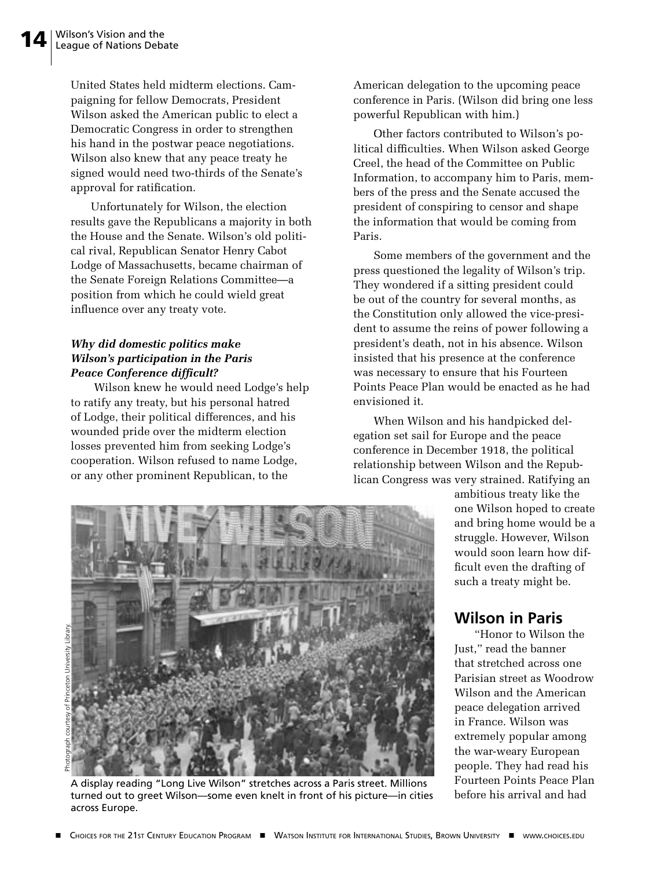United States held midterm elections. Campaigning for fellow Democrats, President Wilson asked the American public to elect a Democratic Congress in order to strengthen his hand in the postwar peace negotiations. Wilson also knew that any peace treaty he signed would need two-thirds of the Senate's approval for ratification.

Unfortunately for Wilson, the election results gave the Republicans a majority in both the House and the Senate. Wilson's old political rival, Republican Senator Henry Cabot Lodge of Massachusetts, became chairman of the Senate Foreign Relations Committee—a position from which he could wield great influence over any treaty vote.

#### *Why did domestic politics make Wilson's participation in the Paris Peace Conference difficult?*

 Wilson knew he would need Lodge's help to ratify any treaty, but his personal hatred of Lodge, their political differences, and his wounded pride over the midterm election losses prevented him from seeking Lodge's cooperation. Wilson refused to name Lodge, or any other prominent Republican, to the

American delegation to the upcoming peace conference in Paris. (Wilson did bring one less powerful Republican with him.)

Other factors contributed to Wilson's political difficulties. When Wilson asked George Creel, the head of the Committee on Public Information, to accompany him to Paris, members of the press and the Senate accused the president of conspiring to censor and shape the information that would be coming from Paris.

Some members of the government and the press questioned the legality of Wilson's trip. They wondered if a sitting president could be out of the country for several months, as the Constitution only allowed the vice-president to assume the reins of power following a president's death, not in his absence. Wilson insisted that his presence at the conference was necessary to ensure that his Fourteen Points Peace Plan would be enacted as he had envisioned it.

When Wilson and his handpicked delegation set sail for Europe and the peace conference in December 1918, the political relationship between Wilson and the Republican Congress was very strained. Ratifying an

> ambitious treaty like the one Wilson hoped to create and bring home would be a struggle. However, Wilson would soon learn how difficult even the drafting of such a treaty might be.

## **Wilson in Paris**

"Honor to Wilson the Just," read the banner that stretched across one Parisian street as Woodrow Wilson and the American peace delegation arrived in France. Wilson was extremely popular among the war-weary European people. They had read his Fourteen Points Peace Plan before his arrival and had



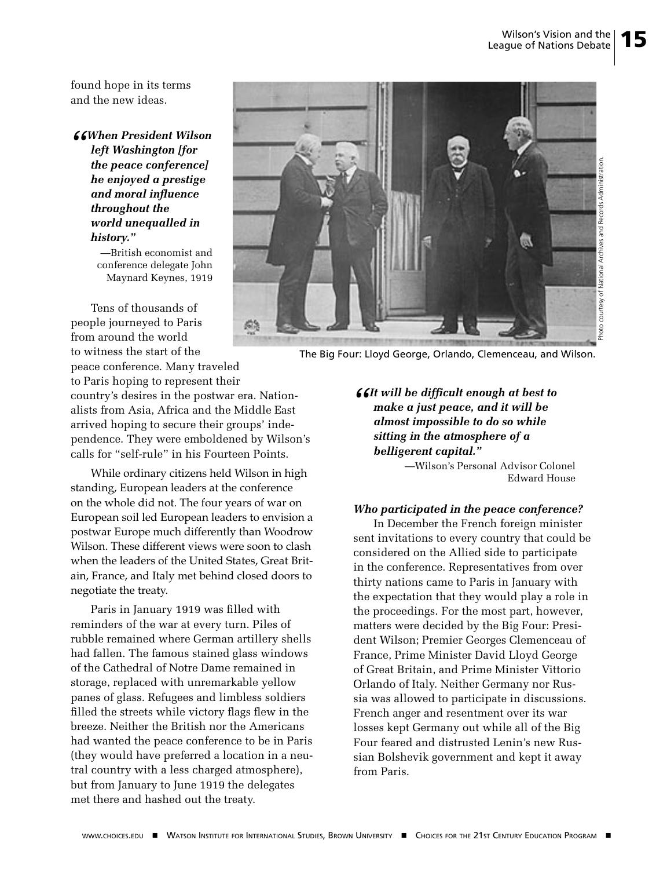found hope in its terms and the new ideas.

*"When President Wilson left Washington [for the peace conference] he enjoyed a prestige and moral influence throughout the world unequalled in history."* 

 —British economist and conference delegate John Maynard Keynes, 1919

Tens of thousands of people journeyed to Paris 扁 from around the world to witness the start of the peace conference. Many traveled to Paris hoping to represent their country's desires in the postwar era. Nationalists from Asia, Africa and the Middle East arrived hoping to secure their groups' independence. They were emboldened by Wilson's calls for "self-rule" in his Fourteen Points.

While ordinary citizens held Wilson in high standing, European leaders at the conference on the whole did not. The four years of war on European soil led European leaders to envision a postwar Europe much differently than Woodrow Wilson. These different views were soon to clash when the leaders of the United States, Great Britain, France, and Italy met behind closed doors to negotiate the treaty.

Paris in January 1919 was filled with reminders of the war at every turn. Piles of rubble remained where German artillery shells had fallen. The famous stained glass windows of the Cathedral of Notre Dame remained in storage, replaced with unremarkable yellow panes of glass. Refugees and limbless soldiers filled the streets while victory flags flew in the breeze. Neither the British nor the Americans had wanted the peace conference to be in Paris (they would have preferred a location in a neutral country with a less charged atmosphere), but from January to June 1919 the delegates met there and hashed out the treaty.



The Big Four: Lloyd George, Orlando, Clemenceau, and Wilson.

#### *fficult enough at best to make a just peace, and it will be almost impossible to do so while sitting in the atmosphere of a belligerent capital."*

—Wilson's Personal Advisor Colonel Edward House

#### *Who participated in the peace conference?*

In December the French foreign minister sent invitations to every country that could be considered on the Allied side to participate in the conference. Representatives from over thirty nations came to Paris in January with the expectation that they would play a role in the proceedings. For the most part, however, matters were decided by the Big Four: President Wilson; Premier Georges Clemenceau of France, Prime Minister David Lloyd George of Great Britain, and Prime Minister Vittorio Orlando of Italy. Neither Germany nor Russia was allowed to participate in discussions. French anger and resentment over its war losses kept Germany out while all of the Big Four feared and distrusted Lenin's new Russian Bolshevik government and kept it away from Paris.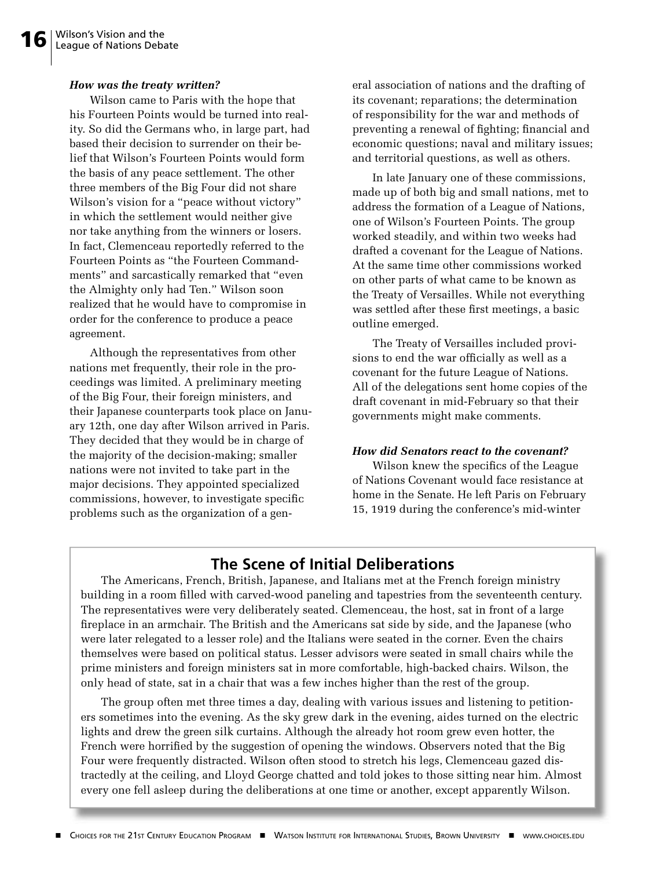#### *How was the treaty written?*

Wilson came to Paris with the hope that his Fourteen Points would be turned into reality. So did the Germans who, in large part, had based their decision to surrender on their belief that Wilson's Fourteen Points would form the basis of any peace settlement. The other three members of the Big Four did not share Wilson's vision for a "peace without victory" in which the settlement would neither give nor take anything from the winners or losers. In fact, Clemenceau reportedly referred to the Fourteen Points as "the Fourteen Commandments" and sarcastically remarked that "even the Almighty only had Ten." Wilson soon realized that he would have to compromise in order for the conference to produce a peace agreement.

Although the representatives from other nations met frequently, their role in the proceedings was limited. A preliminary meeting of the Big Four, their foreign ministers, and their Japanese counterparts took place on January 12th, one day after Wilson arrived in Paris. They decided that they would be in charge of the majority of the decision-making; smaller nations were not invited to take part in the major decisions. They appointed specialized commissions, however, to investigate specific problems such as the organization of a general association of nations and the drafting of its covenant; reparations; the determination of responsibility for the war and methods of preventing a renewal of fighting; financial and economic questions; naval and military issues; and territorial questions, as well as others.

In late January one of these commissions, made up of both big and small nations, met to address the formation of a League of Nations, one of Wilson's Fourteen Points. The group worked steadily, and within two weeks had drafted a covenant for the League of Nations. At the same time other commissions worked on other parts of what came to be known as the Treaty of Versailles. While not everything was settled after these first meetings, a basic outline emerged.

The Treaty of Versailles included provisions to end the war officially as well as a covenant for the future League of Nations. All of the delegations sent home copies of the draft covenant in mid-February so that their governments might make comments.

#### *How did Senators react to the covenant?*

Wilson knew the specifics of the League of Nations Covenant would face resistance at home in the Senate. He left Paris on February 15, 1919 during the conference's mid-winter

## **The Scene of Initial Deliberations**

The Americans, French, British, Japanese, and Italians met at the French foreign ministry building in a room filled with carved-wood paneling and tapestries from the seventeenth century. The representatives were very deliberately seated. Clemenceau, the host, sat in front of a large fireplace in an armchair. The British and the Americans sat side by side, and the Japanese (who were later relegated to a lesser role) and the Italians were seated in the corner. Even the chairs themselves were based on political status. Lesser advisors were seated in small chairs while the prime ministers and foreign ministers sat in more comfortable, high-backed chairs. Wilson, the only head of state, sat in a chair that was a few inches higher than the rest of the group.

The group often met three times a day, dealing with various issues and listening to petitioners sometimes into the evening. As the sky grew dark in the evening, aides turned on the electric lights and drew the green silk curtains. Although the already hot room grew even hotter, the French were horrified by the suggestion of opening the windows. Observers noted that the Big Four were frequently distracted. Wilson often stood to stretch his legs, Clemenceau gazed distractedly at the ceiling, and Lloyd George chatted and told jokes to those sitting near him. Almost every one fell asleep during the deliberations at one time or another, except apparently Wilson.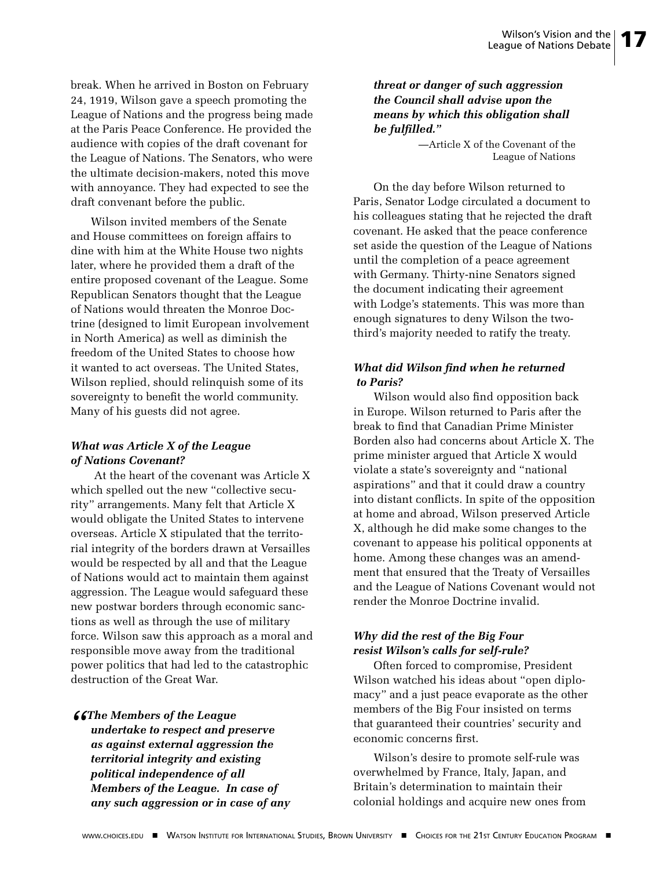break. When he arrived in Boston on February 24, 1919, Wilson gave a speech promoting the League of Nations and the progress being made at the Paris Peace Conference. He provided the audience with copies of the draft covenant for the League of Nations. The Senators, who were the ultimate decision-makers, noted this move with annoyance. They had expected to see the draft convenant before the public.

Wilson invited members of the Senate and House committees on foreign affairs to dine with him at the White House two nights later, where he provided them a draft of the entire proposed covenant of the League. Some Republican Senators thought that the League of Nations would threaten the Monroe Doctrine (designed to limit European involvement in North America) as well as diminish the freedom of the United States to choose how it wanted to act overseas. The United States, Wilson replied, should relinquish some of its sovereignty to benefit the world community. Many of his guests did not agree.

#### *What was Article X of the League of Nations Covenant?*

 At the heart of the covenant was Article X which spelled out the new "collective security" arrangements. Many felt that Article X would obligate the United States to intervene overseas. Article X stipulated that the territorial integrity of the borders drawn at Versailles would be respected by all and that the League of Nations would act to maintain them against aggression. The League would safeguard these new postwar borders through economic sanctions as well as through the use of military force. Wilson saw this approach as a moral and responsible move away from the traditional power politics that had led to the catastrophic destruction of the Great War.

#### *"The Members of the League undertake to respect and preserve*

*as against external aggression the territorial integrity and existing political independence of all Members of the League. In case of any such aggression or in case of any*  *threat or danger of such aggression the Council shall advise upon the means by which this obligation shall be fulfilled."*

> —Article X of the Covenant of the League of Nations

On the day before Wilson returned to Paris, Senator Lodge circulated a document to his colleagues stating that he rejected the draft covenant. He asked that the peace conference set aside the question of the League of Nations until the completion of a peace agreement with Germany. Thirty-nine Senators signed the document indicating their agreement with Lodge's statements. This was more than enough signatures to deny Wilson the twothird's majority needed to ratify the treaty.

#### *What did Wilson find when he returned to Paris?*

Wilson would also find opposition back in Europe. Wilson returned to Paris after the break to find that Canadian Prime Minister Borden also had concerns about Article X. The prime minister argued that Article X would violate a state's sovereignty and "national aspirations" and that it could draw a country into distant conflicts. In spite of the opposition at home and abroad, Wilson preserved Article X, although he did make some changes to the covenant to appease his political opponents at home. Among these changes was an amendment that ensured that the Treaty of Versailles and the League of Nations Covenant would not render the Monroe Doctrine invalid.

#### *Why did the rest of the Big Four resist Wilson's calls for self-rule?*

Often forced to compromise, President Wilson watched his ideas about "open diplomacy" and a just peace evaporate as the other members of the Big Four insisted on terms that guaranteed their countries' security and economic concerns first.

Wilson's desire to promote self-rule was overwhelmed by France, Italy, Japan, and Britain's determination to maintain their colonial holdings and acquire new ones from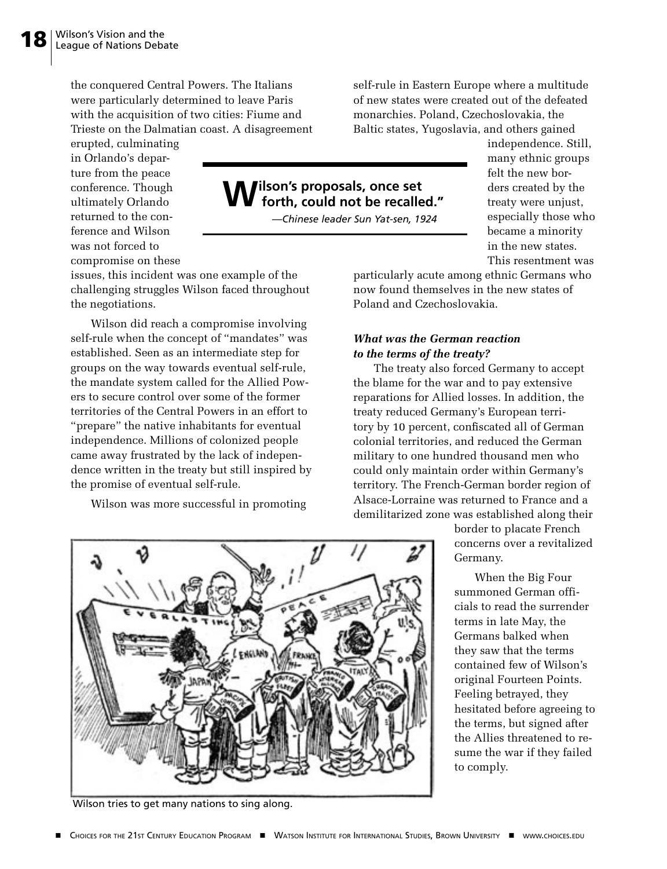the conquered Central Powers. The Italians were particularly determined to leave Paris with the acquisition of two cities: Fiume and Trieste on the Dalmatian coast. A disagreement

erupted, culminating in Orlando's departure from the peace conference. Though ultimately Orlando returned to the conference and Wilson was not forced to compromise on these

issues, this incident was one example of the challenging struggles Wilson faced throughout the negotiations.

Wilson did reach a compromise involving self-rule when the concept of "mandates" was established. Seen as an intermediate step for groups on the way towards eventual self-rule, the mandate system called for the Allied Powers to secure control over some of the former territories of the Central Powers in an effort to "prepare" the native inhabitants for eventual independence. Millions of colonized people came away frustrated by the lack of independence written in the treaty but still inspired by the promise of eventual self-rule.

Wilson was more successful in promoting

self-rule in Eastern Europe where a multitude of new states were created out of the defeated monarchies. Poland, Czechoslovakia, the Baltic states, Yugoslavia, and others gained

# **Wilson's proposals, once set forth, could not be recalled."**

*—Chinese leader Sun Yat-sen, 1924*

independence. Still, many ethnic groups felt the new borders created by the treaty were unjust, especially those who became a minority in the new states. This resentment was

particularly acute among ethnic Germans who now found themselves in the new states of Poland and Czechoslovakia.

#### *What was the German reaction to the terms of the treaty?*

The treaty also forced Germany to accept the blame for the war and to pay extensive reparations for Allied losses. In addition, the treaty reduced Germany's European territory by 10 percent, confiscated all of German colonial territories, and reduced the German military to one hundred thousand men who could only maintain order within Germany's territory. The French-German border region of Alsace-Lorraine was returned to France and a demilitarized zone was established along their

> border to placate French concerns over a revitalized Germany.

When the Big Four summoned German officials to read the surrender terms in late May, the Germans balked when they saw that the terms contained few of Wilson's original Fourteen Points. Feeling betrayed, they hesitated before agreeing to the terms, but signed after the Allies threatened to resume the war if they failed to comply.



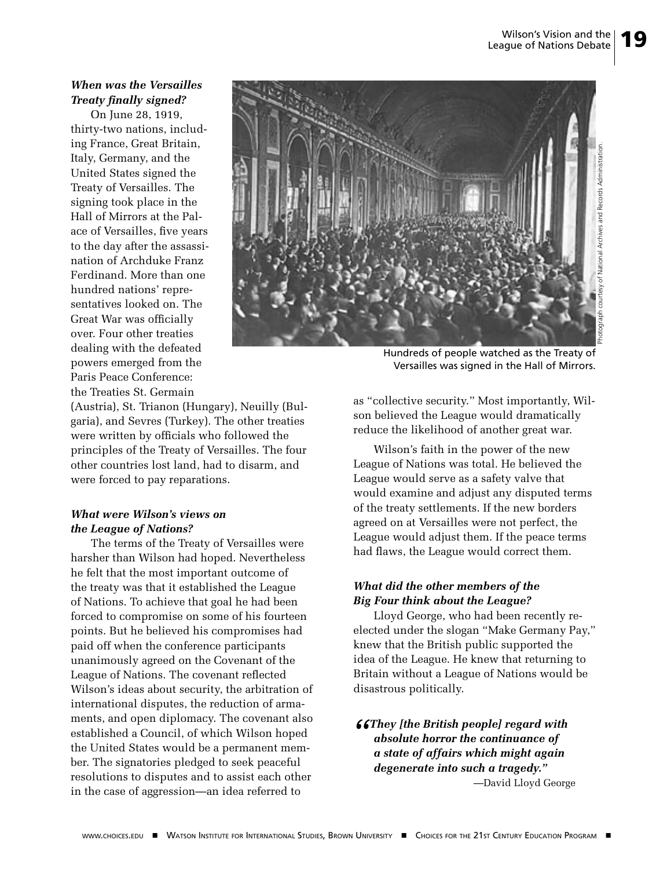#### *When was the Versailles Treaty finally signed?*

On June 28, 1919, thirty-two nations, including France, Great Britain, Italy, Germany, and the United States signed the Treaty of Versailles. The signing took place in the Hall of Mirrors at the Palace of Versailles, five years to the day after the assassination of Archduke Franz Ferdinand. More than one hundred nations' representatives looked on. The Great War was officially over. Four other treaties dealing with the defeated powers emerged from the Paris Peace Conference: the Treaties St. Germain



Hundreds of people watched as the Treaty of Versailles was signed in the Hall of Mirrors.

(Austria), St. Trianon (Hungary), Neuilly (Bulgaria), and Sevres (Turkey). The other treaties were written by officials who followed the principles of the Treaty of Versailles. The four other countries lost land, had to disarm, and were forced to pay reparations.

#### *What were Wilson's views on the League of Nations?*

The terms of the Treaty of Versailles were harsher than Wilson had hoped. Nevertheless he felt that the most important outcome of the treaty was that it established the League of Nations. To achieve that goal he had been forced to compromise on some of his fourteen points. But he believed his compromises had paid off when the conference participants unanimously agreed on the Covenant of the League of Nations. The covenant reflected Wilson's ideas about security, the arbitration of international disputes, the reduction of armaments, and open diplomacy. The covenant also established a Council, of which Wilson hoped the United States would be a permanent member. The signatories pledged to seek peaceful resolutions to disputes and to assist each other in the case of aggression—an idea referred to

as "collective security." Most importantly, Wilson believed the League would dramatically reduce the likelihood of another great war.

Wilson's faith in the power of the new League of Nations was total. He believed the League would serve as a safety valve that would examine and adjust any disputed terms of the treaty settlements. If the new borders agreed on at Versailles were not perfect, the League would adjust them. If the peace terms had flaws, the League would correct them.

#### *What did the other members of the Big Four think about the League?*

Lloyd George, who had been recently reelected under the slogan "Make Germany Pay," knew that the British public supported the idea of the League. He knew that returning to Britain without a League of Nations would be disastrous politically.

#### *"They [the British people] regard with absolute horror the continuance of a state of affairs which might again degenerate into such a tragedy."*

—David Lloyd George